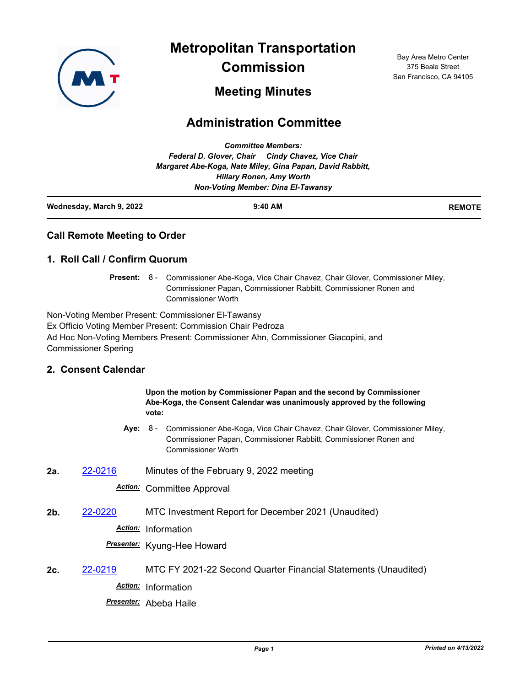

**Metropolitan Transportation** 

**Commission**

Bay Area Metro Center 375 Beale Street San Francisco, CA 94105

# **Meeting Minutes**

# **Administration Committee**

| Wednesday, March 9, 2022 | $9:40$ AM                                                 | <b>REMOTE</b> |
|--------------------------|-----------------------------------------------------------|---------------|
|                          | <b>Non-Voting Member: Dina El-Tawansy</b>                 |               |
|                          | <b>Hillary Ronen, Amy Worth</b>                           |               |
|                          | Margaret Abe-Koga, Nate Miley, Gina Papan, David Rabbitt, |               |
|                          | Federal D. Glover, Chair Cindy Chavez, Vice Chair         |               |
|                          | <b>Committee Members:</b>                                 |               |

### **Call Remote Meeting to Order**

#### **1. Roll Call / Confirm Quorum**

Present: 8 - Commissioner Abe-Koga, Vice Chair Chavez, Chair Glover, Commissioner Miley, Commissioner Papan, Commissioner Rabbitt, Commissioner Ronen and Commissioner Worth

Non-Voting Member Present: Commissioner El-Tawansy Ex Officio Voting Member Present: Commission Chair Pedroza Ad Hoc Non-Voting Members Present: Commissioner Ahn, Commissioner Giacopini, and Commissioner Spering

## **2. Consent Calendar**

|     |         | Upon the motion by Commissioner Papan and the second by Commissioner<br>Abe-Koga, the Consent Calendar was unanimously approved by the following<br>vote:                           |  |
|-----|---------|-------------------------------------------------------------------------------------------------------------------------------------------------------------------------------------|--|
|     | Ave:    | 8 -<br>Commissioner Abe-Koga, Vice Chair Chavez, Chair Glover, Commissioner Miley,<br>Commissioner Papan, Commissioner Rabbitt, Commissioner Ronen and<br><b>Commissioner Worth</b> |  |
| 2a. | 22-0216 | Minutes of the February 9, 2022 meeting                                                                                                                                             |  |
|     |         | <b>Action:</b> Committee Approval                                                                                                                                                   |  |
| 2b. | 22-0220 | MTC Investment Report for December 2021 (Unaudited)                                                                                                                                 |  |
|     |         | Action: Information                                                                                                                                                                 |  |
|     |         | <b>Presenter:</b> Kyung-Hee Howard                                                                                                                                                  |  |
| 2с. | 22-0219 | MTC FY 2021-22 Second Quarter Financial Statements (Unaudited)                                                                                                                      |  |
|     |         | Action: Information                                                                                                                                                                 |  |
|     |         | <b>Presenter:</b> Abeba Haile                                                                                                                                                       |  |